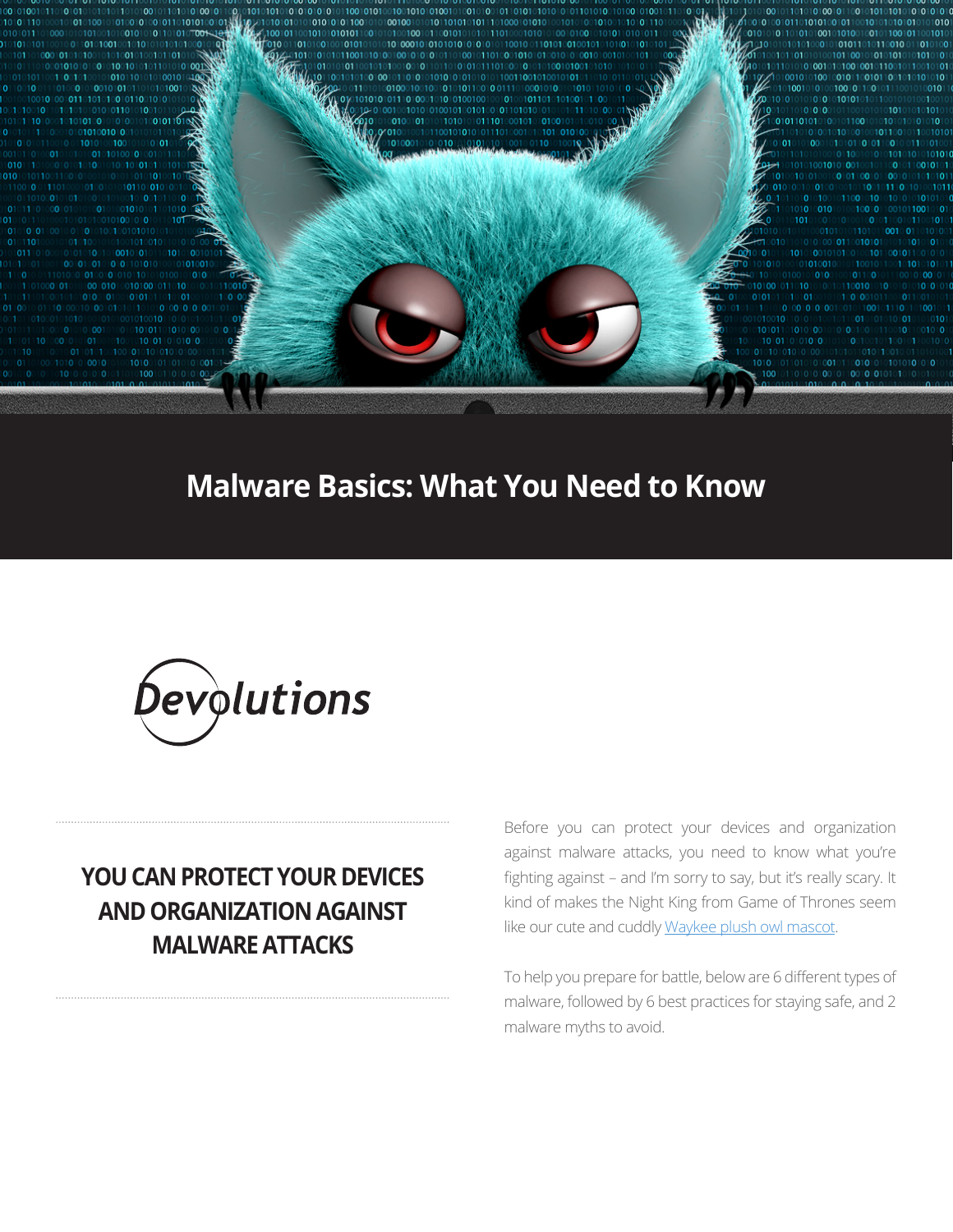100 10010010110

# **Malware Basics: What You Need to Know**



# **YOU CAN PROTECT YOUR DEVICES AND ORGANIZATION AGAINST MALWARE ATTACKS**

Before you can protect your devices and organization against malware attacks, you need to know what you're fighting against - and I'm sorry to say, but it's really scary. It kind of makes the Night King from Game of Thrones seem like our cute and cuddly [Waykee plush owl mascot](https://blog.devolutions.net/2018/07/the-global-adventures-of-wayk-now).

To help you prepare for battle, below are 6 different types of malware, followed by 6 best practices for staying safe, and 2 malware myths to avoid.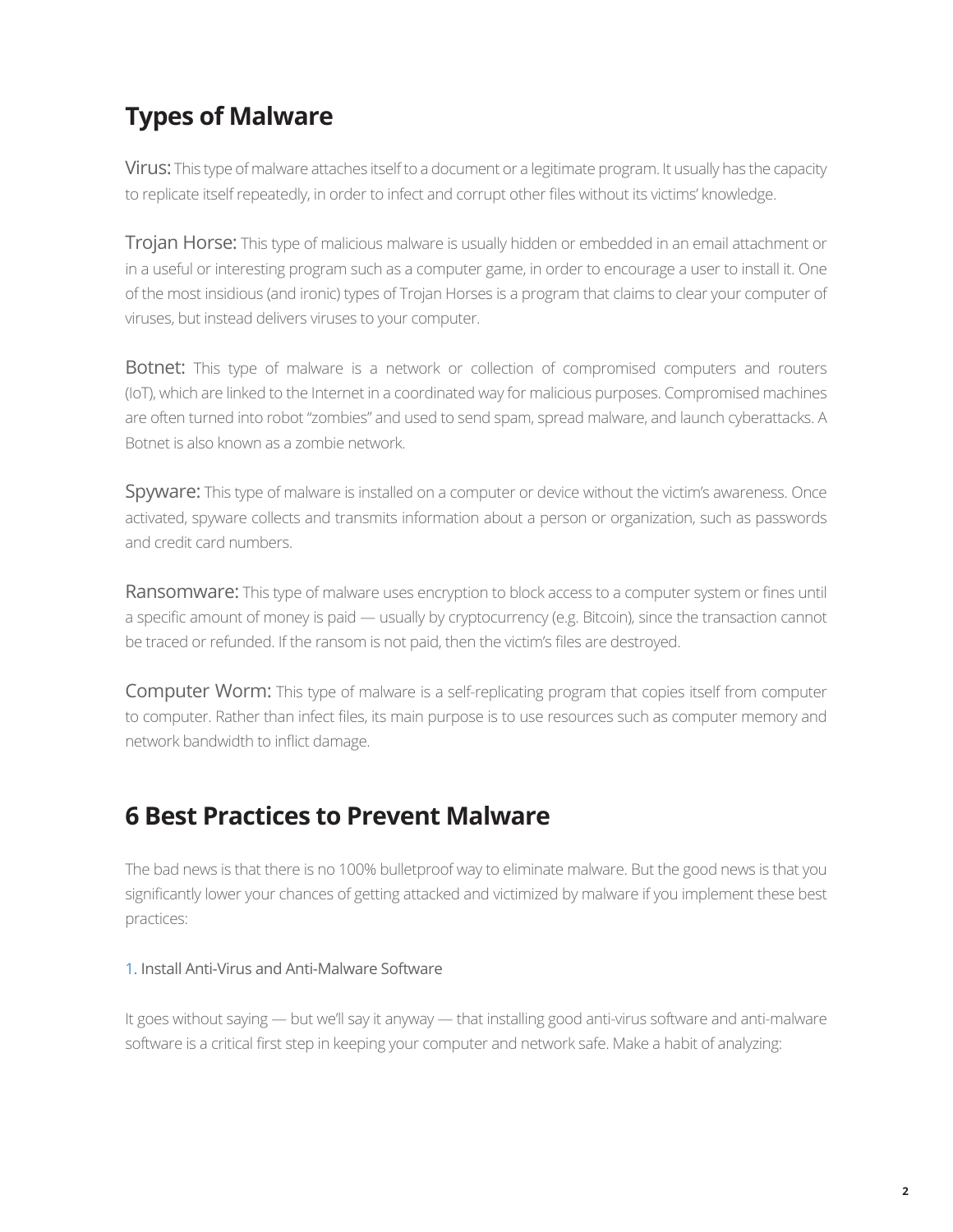## **Types of Malware**

Virus: This type of malware attaches itself to a document or a legitimate program. It usually has the capacity to replicate itself repeatedly, in order to infect and corrupt other files without its victims' knowledge.

**Trojan Horse:** This type of malicious malware is usually hidden or embedded in an email attachment or in a useful or interesting program such as a computer game, in order to encourage a user to install it. One of the most insidious (and ironic) types of Trojan Horses is a program that claims to clear your computer of viruses, but instead delivers viruses to your computer.

**Botnet:** This type of malware is a network or collection of compromised computers and routers (IoT), which are linked to the Internet in a coordinated way for malicious purposes. Compromised machines are often turned into robot "zombies" and used to send spam, spread malware, and launch cyberattacks. A Botnet is also known as a zombie network.

Spyware: This type of malware is installed on a computer or device without the victim's awareness. Once activated, spyware collects and transmits information about a person or organization, such as passwords and credit card numbers.

Ransomware: This type of malware uses encryption to block access to a computer system or fines until a specific amount of money is paid — usually by cryptocurrency (e.g. Bitcoin), since the transaction cannot be traced or refunded. If the ransom is not paid, then the victim's files are destroyed.

Computer Worm: This type of malware is a self-replicating program that copies itself from computer to computer. Rather than infect files, its main purpose is to use resources such as computer memory and network bandwidth to inflict damage.

## **6 Best Practices to Prevent Malware**

The bad news is that there is no 100% bulletproof way to eliminate malware. But the good news is that you significantly lower your chances of getting attacked and victimized by malware if you implement these best practices:

#### 1. Install Anti-Virus and Anti-Malware Software

It goes without saying — but we'll say it anyway — that installing good anti-virus software and anti-malware software is a critical first step in keeping your computer and network safe. Make a habit of analyzing: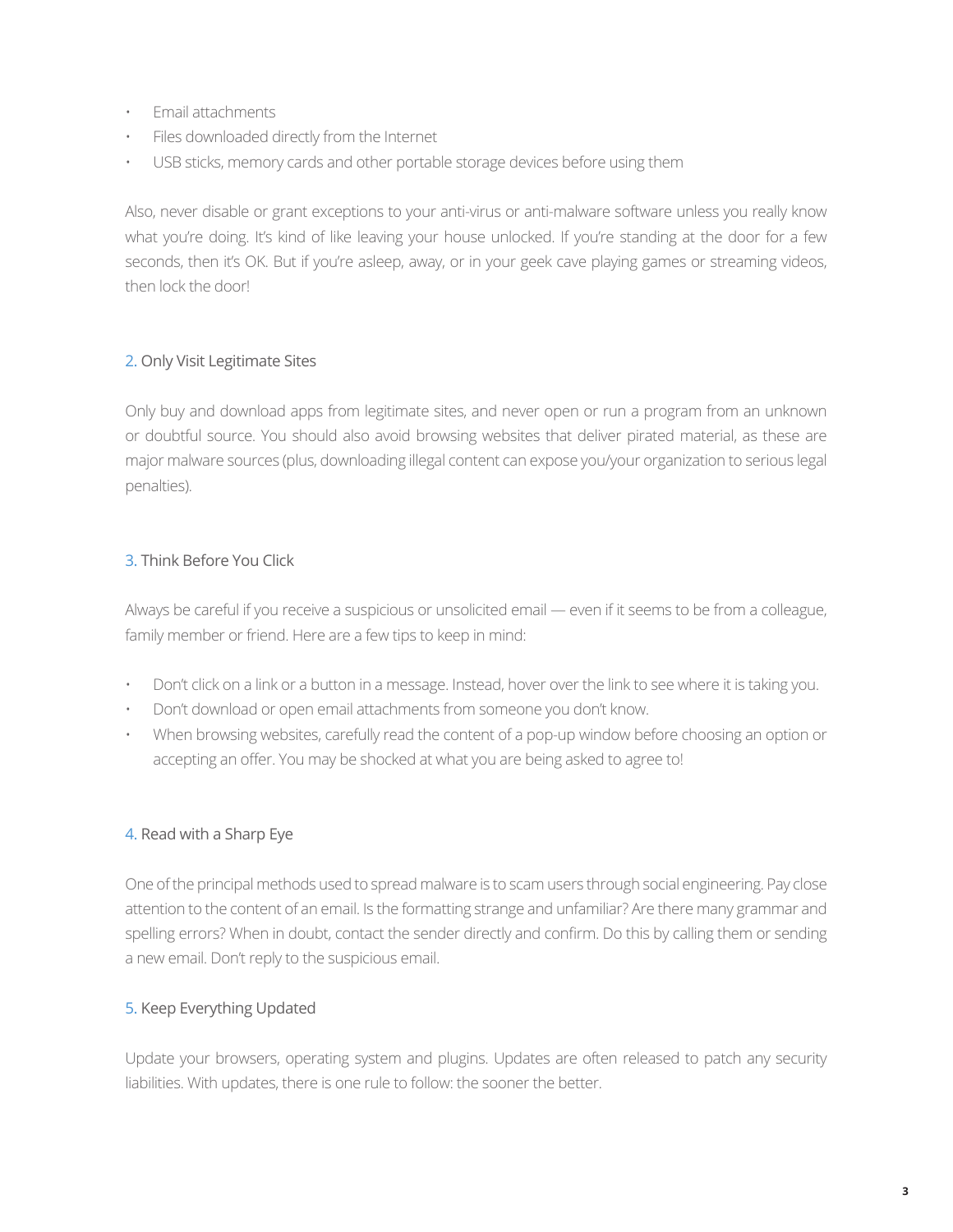- Email attachments
- Files downloaded directly from the Internet
- USB sticks, memory cards and other portable storage devices before using them

Also, never disable or grant exceptions to your anti-virus or anti-malware software unless you really know what you're doing. It's kind of like leaving your house unlocked. If you're standing at the door for a few seconds, then it's OK. But if you're asleep, away, or in your geek cave playing games or streaming videos, then lock the door!

#### 2. Only Visit Legitimate Sites

Only buy and download apps from legitimate sites, and never open or run a program from an unknown or doubtful source. You should also avoid browsing websites that deliver pirated material, as these are major malware sources (plus, downloading illegal content can expose you/your organization to serious legal penalties).

### 3. Think Before You Click

Always be careful if you receive a suspicious or unsolicited email — even if it seems to be from a colleague, family member or friend. Here are a few tips to keep in mind:

- Don't click on a link or a button in a message. Instead, hover over the link to see where it is taking you.
- Don't download or open email attachments from someone you don't know.
- When browsing websites, carefully read the content of a pop-up window before choosing an option or accepting an offer. You may be shocked at what you are being asked to agree to!

#### 4. Read with a Sharp Eye

One of the principal methods used to spread malware is to scam users through social engineering. Pay close attention to the content of an email. Is the formatting strange and unfamiliar? Are there many grammar and spelling errors? When in doubt, contact the sender directly and confirm. Do this by calling them or sending a new email. Don't reply to the suspicious email.

#### 5. Keep Everything Updated

Update your browsers, operating system and plugins. Updates are often released to patch any security liabilities. With updates, there is one rule to follow: the sooner the better.